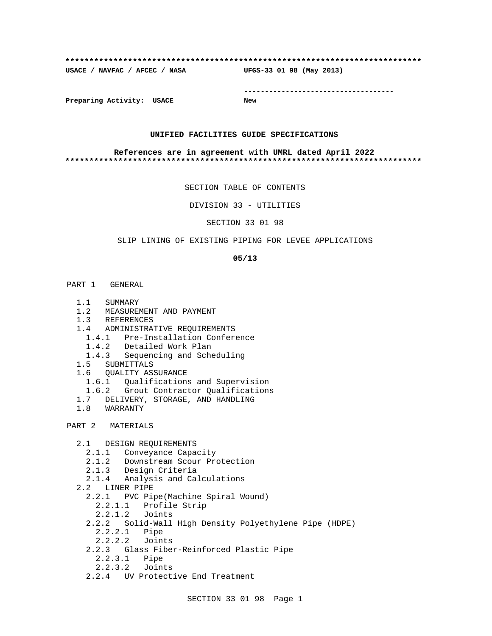#### **\*\*\*\*\*\*\*\*\*\*\*\*\*\*\*\*\*\*\*\*\*\*\*\*\*\*\*\*\*\*\*\*\*\*\*\*\*\*\*\*\*\*\*\*\*\*\*\*\*\*\*\*\*\*\*\*\*\*\*\*\*\*\*\*\*\*\*\*\*\*\*\*\*\***

**USACE / NAVFAC / AFCEC / NASA UFGS-33 01 98 (May 2013)**

**------------------------------------**

**Preparing Activity: USACE New**

#### **UNIFIED FACILITIES GUIDE SPECIFICATIONS**

#### **References are in agreement with UMRL dated April 2022 \*\*\*\*\*\*\*\*\*\*\*\*\*\*\*\*\*\*\*\*\*\*\*\*\*\*\*\*\*\*\*\*\*\*\*\*\*\*\*\*\*\*\*\*\*\*\*\*\*\*\*\*\*\*\*\*\*\*\*\*\*\*\*\*\*\*\*\*\*\*\*\*\*\***

SECTION TABLE OF CONTENTS

DIVISION 33 - UTILITIES

SECTION 33 01 98

# SLIP LINING OF EXISTING PIPING FOR LEVEE APPLICATIONS

#### **05/13**

- PART 1 GENERAL
	- 1.1 SUMMARY
	- 1.2 MEASUREMENT AND PAYMENT
	- 1.3 REFERENCES
	- 1.4 ADMINISTRATIVE REQUIREMENTS
		- 1.4.1 Pre-Installation Conference
		- 1.4.2 Detailed Work Plan
		- 1.4.3 Sequencing and Scheduling
	- 1.5 SUBMITTALS
	- 1.6 QUALITY ASSURANCE
		- 1.6.1 Qualifications and Supervision
		- 1.6.2 Grout Contractor Qualifications
	- 1.7 DELIVERY, STORAGE, AND HANDLING
	- 1.8 WARRANTY

# PART 2 MATERIALS

2.1 DESIGN REQUIREMENTS

- 2.1.1 Conveyance Capacity
- 2.1.2 Downstream Scour Protection
- 2.1.3 Design Criteria
- 2.1.4 Analysis and Calculations
- 2.2 LINER PIPE
	- 2.2.1 PVC Pipe(Machine Spiral Wound)
		- 2.2.1.1 Profile Strip
		- 2.2.1.2 Joints
	- 2.2.2 Solid-Wall High Density Polyethylene Pipe (HDPE)
		- 2.2.2.1 Pipe
		- 2.2.2.2 Joints
	- 2.2.3 Glass Fiber-Reinforced Plastic Pipe
		- 2.2.3.1 Pipe
		- 2.2.3.2 Joints
	- 2.2.4 UV Protective End Treatment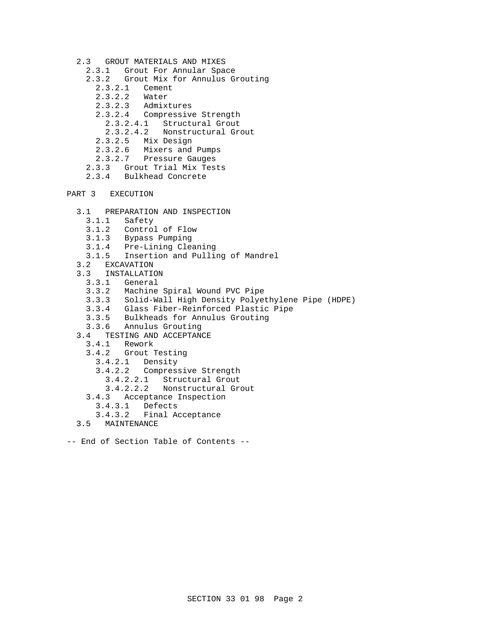- 2.3 GROUT MATERIALS AND MIXES
	- 2.3.1 Grout For Annular Space
	- 2.3.2 Grout Mix for Annulus Grouting
		- 2.3.2.1 Cement<br>2.3.2.2 Water
		- $2.3.2.2$ <br> $2.3.2.3$
		- Admixtures
		- 2.3.2.4 Compressive Strength
			- 2.3.2.4.1 Structural Grout
			- 2.3.2.4.2 Nonstructural Grout
		- 2.3.2.5 Mix Design
		- 2.3.2.6 Mixers and Pumps
	- 2.3.2.7 Pressure Gauges
	- 2.3.3 Grout Trial Mix Tests
	- 2.3.4 Bulkhead Concrete
- PART 3 EXECUTION
	- 3.1 PREPARATION AND INSPECTION
		- 3.1.1 Safety
		- 3.1.2 Control of Flow
		- 3.1.3 Bypass Pumping
		- 3.1.4 Pre-Lining Cleaning
		- 3.1.5 Insertion and Pulling of Mandrel
	- 3.2 EXCAVATION
	- 3.3 INSTALLATION<br>3.3.1 General
		- General
		- 3.3.2 Machine Spiral Wound PVC Pipe
		- 3.3.3 Solid-Wall High Density Polyethylene Pipe (HDPE)
		- 3.3.4 Glass Fiber-Reinforced Plastic Pipe
- 3.3.5 Bulkheads for Annulus Grouting
- 3.3.6 Annulus Grouting
	- 3.4 TESTING AND ACCEPTANCE
		- 3.4.1 Rework
		- 3.4.2 Grout Testing
			- 3.4.2.1 Density
			- 3.4.2.2 Compressive Strength
				- 3.4.2.2.1 Structural Grout
				- 3.4.2.2.2 Nonstructural Grout
		- 3.4.3 Acceptance Inspection
		- 3.4.3.1 Defects
			- 3.4.3.2 Final Acceptance
	- 3.5 MAINTENANCE
- -- End of Section Table of Contents --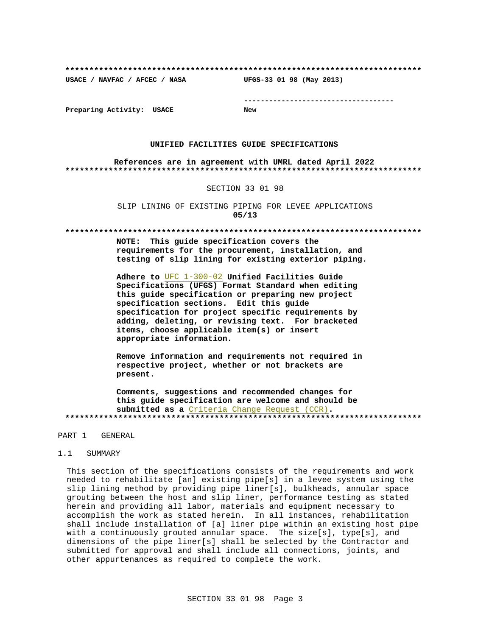**\*\*\*\*\*\*\*\*\*\*\*\*\*\*\*\*\*\*\*\*\*\*\*\*\*\*\*\*\*\*\*\*\*\*\*\*\*\*\*\*\*\*\*\*\*\*\*\*\*\*\*\*\*\*\*\*\*\*\*\*\*\*\*\*\*\*\*\*\*\*\*\*\*\***

**USACE / NAVFAC / AFCEC / NASA UFGS-33 01 98 (May 2013)**

**------------------------------------**

**Preparing Activity: USACE New**

#### **UNIFIED FACILITIES GUIDE SPECIFICATIONS**

**References are in agreement with UMRL dated April 2022 \*\*\*\*\*\*\*\*\*\*\*\*\*\*\*\*\*\*\*\*\*\*\*\*\*\*\*\*\*\*\*\*\*\*\*\*\*\*\*\*\*\*\*\*\*\*\*\*\*\*\*\*\*\*\*\*\*\*\*\*\*\*\*\*\*\*\*\*\*\*\*\*\*\***

#### SECTION 33 01 98

SLIP LINING OF EXISTING PIPING FOR LEVEE APPLICATIONS **05/13**

#### **\*\*\*\*\*\*\*\*\*\*\*\*\*\*\*\*\*\*\*\*\*\*\*\*\*\*\*\*\*\*\*\*\*\*\*\*\*\*\*\*\*\*\*\*\*\*\*\*\*\*\*\*\*\*\*\*\*\*\*\*\*\*\*\*\*\*\*\*\*\*\*\*\*\***

**NOTE: This guide specification covers the requirements for the procurement, installation, and testing of slip lining for existing exterior piping.**

**Adhere to** UFC 1-300-02 **Unified Facilities Guide Specifications (UFGS) Format Standard when editing this guide specification or preparing new project specification sections. Edit this guide specification for project specific requirements by adding, deleting, or revising text. For bracketed items, choose applicable item(s) or insert appropriate information.**

**Remove information and requirements not required in respective project, whether or not brackets are present.**

**Comments, suggestions and recommended changes for this guide specification are welcome and should be submitted as a** Criteria Change Request (CCR)**. \*\*\*\*\*\*\*\*\*\*\*\*\*\*\*\*\*\*\*\*\*\*\*\*\*\*\*\*\*\*\*\*\*\*\*\*\*\*\*\*\*\*\*\*\*\*\*\*\*\*\*\*\*\*\*\*\*\*\*\*\*\*\*\*\*\*\*\*\*\*\*\*\*\***

### PART 1 GENERAL

#### 1.1 SUMMARY

This section of the specifications consists of the requirements and work needed to rehabilitate [an] existing pipe[s] in a levee system using the slip lining method by providing pipe liner[s], bulkheads, annular space grouting between the host and slip liner, performance testing as stated herein and providing all labor, materials and equipment necessary to accomplish the work as stated herein. In all instances, rehabilitation shall include installation of [a] liner pipe within an existing host pipe with a continuously grouted annular space. The size[s], type[s], and dimensions of the pipe liner[s] shall be selected by the Contractor and submitted for approval and shall include all connections, joints, and other appurtenances as required to complete the work.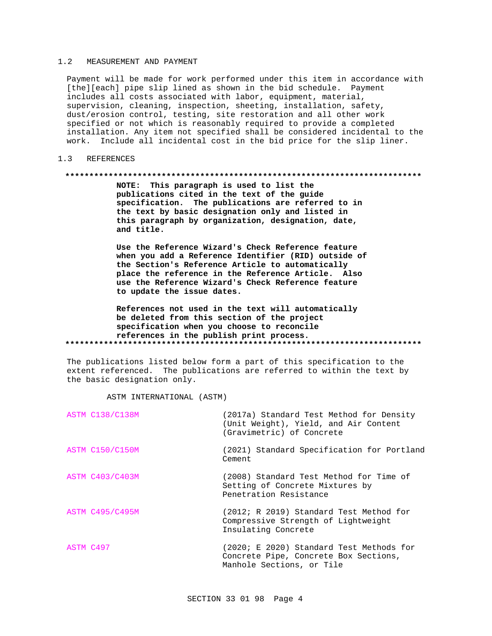#### 1.2 MEASUREMENT AND PAYMENT

Payment will be made for work performed under this item in accordance with [the][each] pipe slip lined as shown in the bid schedule. Payment includes all costs associated with labor, equipment, material, supervision, cleaning, inspection, sheeting, installation, safety, dust/erosion control, testing, site restoration and all other work specified or not which is reasonably required to provide a completed installation. Any item not specified shall be considered incidental to the work. Include all incidental cost in the bid price for the slip liner.

#### 1.3 REFERENCES

#### **\*\*\*\*\*\*\*\*\*\*\*\*\*\*\*\*\*\*\*\*\*\*\*\*\*\*\*\*\*\*\*\*\*\*\*\*\*\*\*\*\*\*\*\*\*\*\*\*\*\*\*\*\*\*\*\*\*\*\*\*\*\*\*\*\*\*\*\*\*\*\*\*\*\***

**NOTE: This paragraph is used to list the publications cited in the text of the guide specification. The publications are referred to in the text by basic designation only and listed in this paragraph by organization, designation, date, and title.**

**Use the Reference Wizard's Check Reference feature when you add a Reference Identifier (RID) outside of the Section's Reference Article to automatically place the reference in the Reference Article. Also use the Reference Wizard's Check Reference feature to update the issue dates.**

**References not used in the text will automatically be deleted from this section of the project specification when you choose to reconcile references in the publish print process. \*\*\*\*\*\*\*\*\*\*\*\*\*\*\*\*\*\*\*\*\*\*\*\*\*\*\*\*\*\*\*\*\*\*\*\*\*\*\*\*\*\*\*\*\*\*\*\*\*\*\*\*\*\*\*\*\*\*\*\*\*\*\*\*\*\*\*\*\*\*\*\*\*\***

The publications listed below form a part of this specification to the extent referenced. The publications are referred to within the text by the basic designation only.

ASTM INTERNATIONAL (ASTM)

| <b>ASTM C138/C138M</b> | (2017a) Standard Test Method for Density<br>(Unit Weight), Yield, and Air Content<br>(Gravimetric) of Concrete |
|------------------------|----------------------------------------------------------------------------------------------------------------|
| ASTM C150/C150M        | (2021) Standard Specification for Portland<br>Cement                                                           |
| <b>ASTM C403/C403M</b> | (2008) Standard Test Method for Time of<br>Setting of Concrete Mixtures by<br>Penetration Resistance           |
| <b>ASTM C495/C495M</b> | (2012; R 2019) Standard Test Method for<br>Compressive Strength of Lightweight<br>Insulating Concrete          |
| ASTM C497              | (2020; E 2020) Standard Test Methods for<br>Concrete Pipe, Concrete Box Sections,<br>Manhole Sections, or Tile |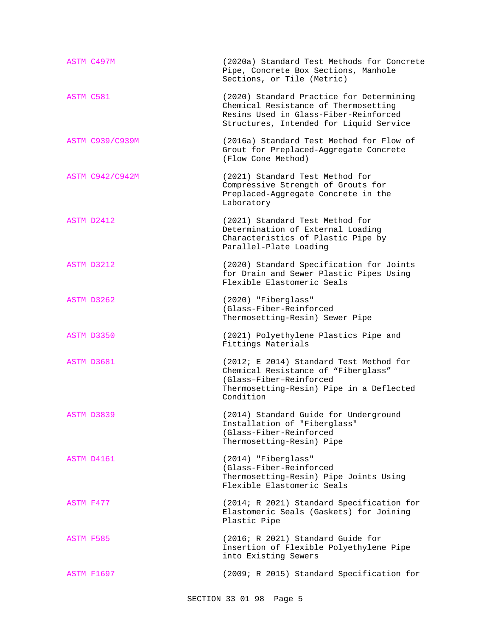| ASTM C497M             | (2020a) Standard Test Methods for Concrete<br>Pipe, Concrete Box Sections, Manhole<br>Sections, or Tile (Metric)                                                     |
|------------------------|----------------------------------------------------------------------------------------------------------------------------------------------------------------------|
| ASTM C581              | (2020) Standard Practice for Determining<br>Chemical Resistance of Thermosetting<br>Resins Used in Glass-Fiber-Reinforced<br>Structures, Intended for Liquid Service |
| <b>ASTM C939/C939M</b> | (2016a) Standard Test Method for Flow of<br>Grout for Preplaced-Aggregate Concrete<br>(Flow Cone Method)                                                             |
| <b>ASTM C942/C942M</b> | (2021) Standard Test Method for<br>Compressive Strength of Grouts for<br>Preplaced-Aggregate Concrete in the<br>Laboratory                                           |
| ASTM D2412             | (2021) Standard Test Method for<br>Determination of External Loading<br>Characteristics of Plastic Pipe by<br>Parallel-Plate Loading                                 |
| ASTM D3212             | (2020) Standard Specification for Joints<br>for Drain and Sewer Plastic Pipes Using<br>Flexible Elastomeric Seals                                                    |
| ASTM D3262             | (2020) "Fiberglass"<br>(Glass-Fiber-Reinforced<br>Thermosetting-Resin) Sewer Pipe                                                                                    |
| ASTM D3350             | (2021) Polyethylene Plastics Pipe and<br>Fittings Materials                                                                                                          |
| ASTM D3681             | (2012; E 2014) Standard Test Method for<br>Chemical Resistance of "Fiberglass"<br>(Glass-Fiber-Reinforced<br>Thermosetting-Resin) Pipe in a Deflected<br>Condition   |
| ASTM D3839             | (2014) Standard Guide for Underground<br>Installation of "Fiberglass"<br>(Glass-Fiber-Reinforced<br>Thermosetting-Resin) Pipe                                        |
| ASTM D4161             | (2014) "Fiberglass"<br>(Glass-Fiber-Reinforced<br>Thermosetting-Resin) Pipe Joints Using<br>Flexible Elastomeric Seals                                               |
| ASTM F477              | (2014; R 2021) Standard Specification for<br>Elastomeric Seals (Gaskets) for Joining<br>Plastic Pipe                                                                 |
| ASTM F585              | (2016; R 2021) Standard Guide for<br>Insertion of Flexible Polyethylene Pipe<br>into Existing Sewers                                                                 |
| <b>ASTM F1697</b>      | (2009; R 2015) Standard Specification for                                                                                                                            |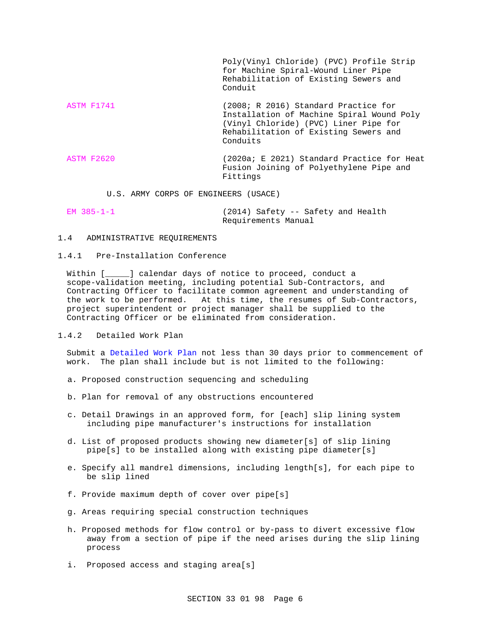Poly(Vinyl Chloride) (PVC) Profile Strip for Machine Spiral-Wound Liner Pipe Rehabilitation of Existing Sewers and Conduit

ASTM F1741 (2008; R 2016) Standard Practice for Installation of Machine Spiral Wound Poly (Vinyl Chloride) (PVC) Liner Pipe for Rehabilitation of Existing Sewers and Conduits

ASTM F2620 (2020a; E 2021) Standard Practice for Heat Fusion Joining of Polyethylene Pipe and Fittings

U.S. ARMY CORPS OF ENGINEERS (USACE)

| EM 385-1-1 |                     |  | (2014) Safety -- Safety and Health |
|------------|---------------------|--|------------------------------------|
|            | Requirements Manual |  |                                    |

# 1.4 ADMINISTRATIVE REQUIREMENTS

#### 1.4.1 Pre-Installation Conference

Within [  $\Box$ ] calendar days of notice to proceed, conduct a scope-validation meeting, including potential Sub-Contractors, and Contracting Officer to facilitate common agreement and understanding of the work to be performed. At this time, the resumes of Sub-Contractors, project superintendent or project manager shall be supplied to the Contracting Officer or be eliminated from consideration.

### 1.4.2 Detailed Work Plan

Submit a Detailed Work Plan not less than 30 days prior to commencement of work. The plan shall include but is not limited to the following:

- a. Proposed construction sequencing and scheduling
- b. Plan for removal of any obstructions encountered
- c. Detail Drawings in an approved form, for [each] slip lining system including pipe manufacturer's instructions for installation
- d. List of proposed products showing new diameter[s] of slip lining pipe[s] to be installed along with existing pipe diameter[s]
- e. Specify all mandrel dimensions, including length[s], for each pipe to be slip lined
- f. Provide maximum depth of cover over pipe[s]
- g. Areas requiring special construction techniques
- h. Proposed methods for flow control or by-pass to divert excessive flow away from a section of pipe if the need arises during the slip lining process
- i. Proposed access and staging area[s]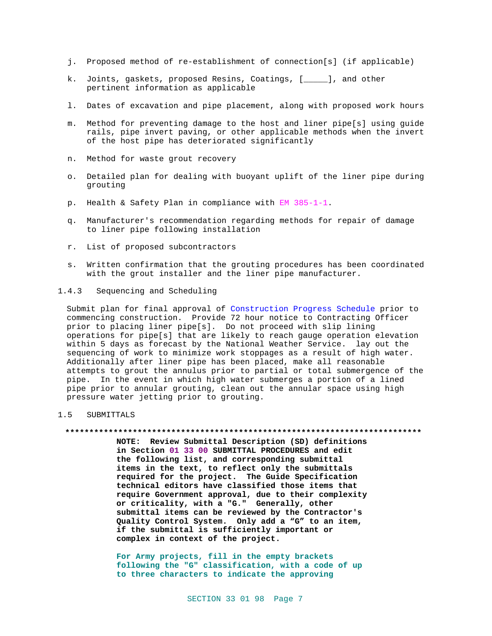- j. Proposed method of re-establishment of connection[s] (if applicable)
- k. Joints, gaskets, proposed Resins, Coatings, [\_\_\_\_\_], and other pertinent information as applicable
- l. Dates of excavation and pipe placement, along with proposed work hours
- m. Method for preventing damage to the host and liner pipe[s] using guide rails, pipe invert paving, or other applicable methods when the invert of the host pipe has deteriorated significantly
- n. Method for waste grout recovery
- o. Detailed plan for dealing with buoyant uplift of the liner pipe during grouting
- p. Health & Safety Plan in compliance with EM 385-1-1.
- q. Manufacturer's recommendation regarding methods for repair of damage to liner pipe following installation
- r. List of proposed subcontractors
- s. Written confirmation that the grouting procedures has been coordinated with the grout installer and the liner pipe manufacturer.

# 1.4.3 Sequencing and Scheduling

Submit plan for final approval of Construction Progress Schedule prior to commencing construction. Provide 72 hour notice to Contracting Officer prior to placing liner pipe[s]. Do not proceed with slip lining operations for pipe[s] that are likely to reach gauge operation elevation within 5 days as forecast by the National Weather Service. lay out the sequencing of work to minimize work stoppages as a result of high water. Additionally after liner pipe has been placed, make all reasonable attempts to grout the annulus prior to partial or total submergence of the pipe. In the event in which high water submerges a portion of a lined pipe prior to annular grouting, clean out the annular space using high pressure water jetting prior to grouting.

#### 1.5 SUBMITTALS

#### **\*\*\*\*\*\*\*\*\*\*\*\*\*\*\*\*\*\*\*\*\*\*\*\*\*\*\*\*\*\*\*\*\*\*\*\*\*\*\*\*\*\*\*\*\*\*\*\*\*\*\*\*\*\*\*\*\*\*\*\*\*\*\*\*\*\*\*\*\*\*\*\*\*\***

**NOTE: Review Submittal Description (SD) definitions in Section 01 33 00 SUBMITTAL PROCEDURES and edit the following list, and corresponding submittal items in the text, to reflect only the submittals required for the project. The Guide Specification technical editors have classified those items that require Government approval, due to their complexity or criticality, with a "G." Generally, other submittal items can be reviewed by the Contractor's Quality Control System. Only add a "G" to an item, if the submittal is sufficiently important or complex in context of the project.**

**For Army projects, fill in the empty brackets following the "G" classification, with a code of up to three characters to indicate the approving**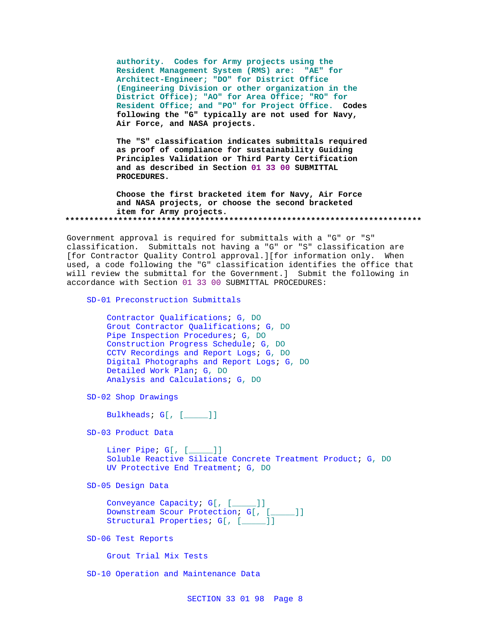**authority. Codes for Army projects using the Resident Management System (RMS) are: "AE" for Architect-Engineer; "DO" for District Office (Engineering Division or other organization in the District Office); "AO" for Area Office; "RO" for Resident Office; and "PO" for Project Office. Codes following the "G" typically are not used for Navy, Air Force, and NASA projects.**

**The "S" classification indicates submittals required as proof of compliance for sustainability Guiding Principles Validation or Third Party Certification and as described in Section 01 33 00 SUBMITTAL PROCEDURES.**

**Choose the first bracketed item for Navy, Air Force and NASA projects, or choose the second bracketed item for Army projects. \*\*\*\*\*\*\*\*\*\*\*\*\*\*\*\*\*\*\*\*\*\*\*\*\*\*\*\*\*\*\*\*\*\*\*\*\*\*\*\*\*\*\*\*\*\*\*\*\*\*\*\*\*\*\*\*\*\*\*\*\*\*\*\*\*\*\*\*\*\*\*\*\*\***

Government approval is required for submittals with a "G" or "S" classification. Submittals not having a "G" or "S" classification are [for Contractor Quality Control approval.][for information only. When used, a code following the "G" classification identifies the office that will review the submittal for the Government.] Submit the following in accordance with Section 01 33 00 SUBMITTAL PROCEDURES:

SD-01 Preconstruction Submittals

```
Contractor Qualifications; G, DO
Grout Contractor Qualifications; G, DO
Pipe Inspection Procedures; G, DO
Construction Progress Schedule; G, DO
CCTV Recordings and Report Logs; G, DO
Digital Photographs and Report Logs; G, DO
Detailed Work Plan; G, DO
Analysis and Calculations; G, DO
```
SD-02 Shop Drawings

Bulkheads; G[, [\_\_\_\_\_]]

SD-03 Product Data

Liner Pipe; G[, [\_\_\_\_\_]] Soluble Reactive Silicate Concrete Treatment Product; G, DO UV Protective End Treatment; G, DO

SD-05 Design Data

```
Conveyance Capacity; G[, [_____]]
Downstream Scour Protection; G[, [_____]]
Structural Properties; G[, [_____]]
```
SD-06 Test Reports

Grout Trial Mix Tests

SD-10 Operation and Maintenance Data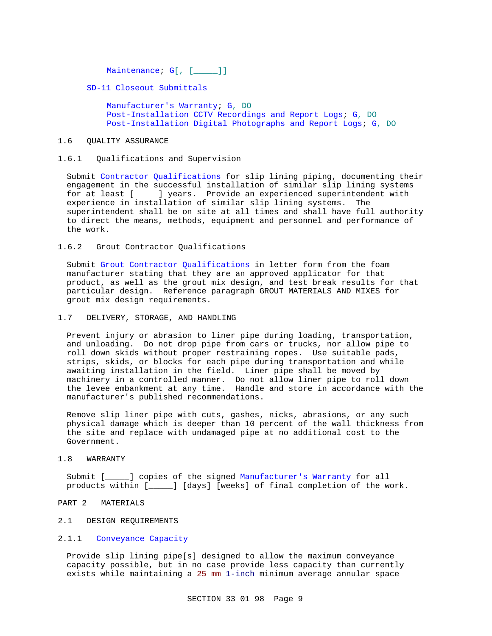Maintenance; G[, [\_\_\_\_]]

SD-11 Closeout Submittals

Manufacturer's Warranty; G, DO Post-Installation CCTV Recordings and Report Logs; G, DO Post-Installation Digital Photographs and Report Logs; G, DO

### 1.6 QUALITY ASSURANCE

# 1.6.1 Qualifications and Supervision

Submit Contractor Qualifications for slip lining piping, documenting their engagement in the successful installation of similar slip lining systems for at least [\_\_\_\_\_] years. Provide an experienced superintendent with experience in installation of similar slip lining systems. The superintendent shall be on site at all times and shall have full authority to direct the means, methods, equipment and personnel and performance of the work.

# 1.6.2 Grout Contractor Qualifications

Submit Grout Contractor Qualifications in letter form from the foam manufacturer stating that they are an approved applicator for that product, as well as the grout mix design, and test break results for that particular design. Reference paragraph GROUT MATERIALS AND MIXES for grout mix design requirements.

# 1.7 DELIVERY, STORAGE, AND HANDLING

Prevent injury or abrasion to liner pipe during loading, transportation, and unloading. Do not drop pipe from cars or trucks, nor allow pipe to roll down skids without proper restraining ropes. Use suitable pads, strips, skids, or blocks for each pipe during transportation and while awaiting installation in the field. Liner pipe shall be moved by machinery in a controlled manner. Do not allow liner pipe to roll down the levee embankment at any time. Handle and store in accordance with the manufacturer's published recommendations.

Remove slip liner pipe with cuts, gashes, nicks, abrasions, or any such physical damage which is deeper than 10 percent of the wall thickness from the site and replace with undamaged pipe at no additional cost to the Government.

# 1.8 WARRANTY

Submit [\_\_\_\_\_] copies of the signed Manufacturer's Warranty for all products within [\_\_\_\_\_] [days] [weeks] of final completion of the work.

# PART 2 MATERIALS

2.1 DESIGN REQUIREMENTS

# 2.1.1 Conveyance Capacity

Provide slip lining pipe[s] designed to allow the maximum conveyance capacity possible, but in no case provide less capacity than currently exists while maintaining a 25 mm 1-inch minimum average annular space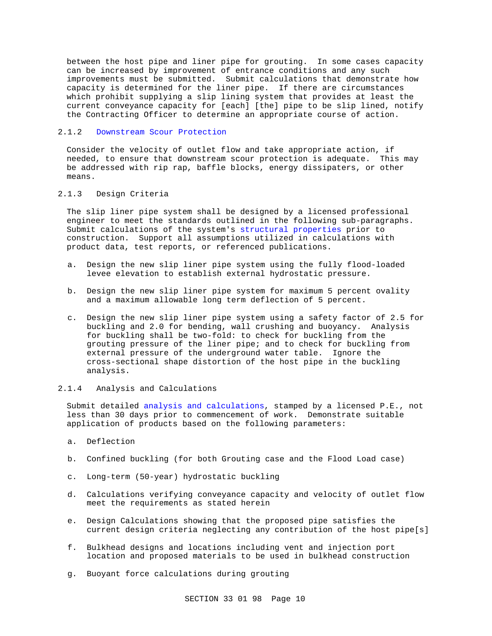between the host pipe and liner pipe for grouting. In some cases capacity can be increased by improvement of entrance conditions and any such improvements must be submitted. Submit calculations that demonstrate how capacity is determined for the liner pipe. If there are circumstances which prohibit supplying a slip lining system that provides at least the current conveyance capacity for [each] [the] pipe to be slip lined, notify the Contracting Officer to determine an appropriate course of action.

# 2.1.2 Downstream Scour Protection

Consider the velocity of outlet flow and take appropriate action, if needed, to ensure that downstream scour protection is adequate. This may be addressed with rip rap, baffle blocks, energy dissipaters, or other means.

# 2.1.3 Design Criteria

The slip liner pipe system shall be designed by a licensed professional engineer to meet the standards outlined in the following sub-paragraphs. Submit calculations of the system's structural properties prior to construction. Support all assumptions utilized in calculations with product data, test reports, or referenced publications.

- a. Design the new slip liner pipe system using the fully flood-loaded levee elevation to establish external hydrostatic pressure.
- b. Design the new slip liner pipe system for maximum 5 percent ovality and a maximum allowable long term deflection of 5 percent.
- c. Design the new slip liner pipe system using a safety factor of 2.5 for buckling and 2.0 for bending, wall crushing and buoyancy. Analysis for buckling shall be two-fold: to check for buckling from the grouting pressure of the liner pipe; and to check for buckling from external pressure of the underground water table. Ignore the cross-sectional shape distortion of the host pipe in the buckling analysis.

## 2.1.4 Analysis and Calculations

Submit detailed analysis and calculations, stamped by a licensed P.E., not less than 30 days prior to commencement of work. Demonstrate suitable application of products based on the following parameters:

- a. Deflection
- b. Confined buckling (for both Grouting case and the Flood Load case)
- c. Long-term (50-year) hydrostatic buckling
- d. Calculations verifying conveyance capacity and velocity of outlet flow meet the requirements as stated herein
- e. Design Calculations showing that the proposed pipe satisfies the current design criteria neglecting any contribution of the host pipe[s]
- f. Bulkhead designs and locations including vent and injection port location and proposed materials to be used in bulkhead construction
- g. Buoyant force calculations during grouting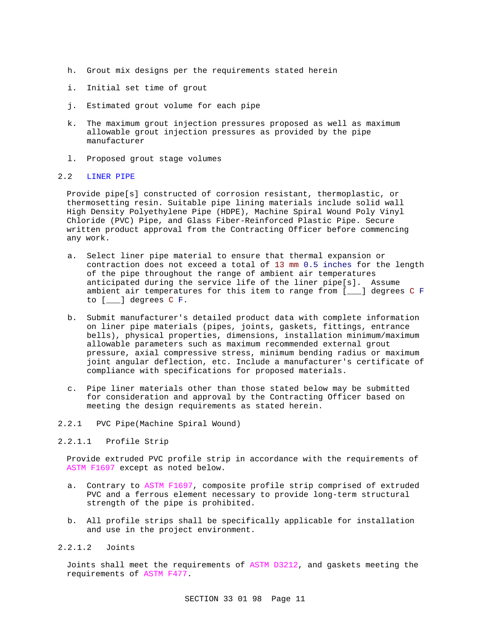- h. Grout mix designs per the requirements stated herein
- i. Initial set time of grout
- j. Estimated grout volume for each pipe
- k. The maximum grout injection pressures proposed as well as maximum allowable grout injection pressures as provided by the pipe manufacturer
- l. Proposed grout stage volumes

#### 2.2 LINER PIPE

Provide pipe[s] constructed of corrosion resistant, thermoplastic, or thermosetting resin. Suitable pipe lining materials include solid wall High Density Polyethylene Pipe (HDPE), Machine Spiral Wound Poly Vinyl Chloride (PVC) Pipe, and Glass Fiber-Reinforced Plastic Pipe. Secure written product approval from the Contracting Officer before commencing any work.

- a. Select liner pipe material to ensure that thermal expansion or contraction does not exceed a total of 13 mm 0.5 inches for the length of the pipe throughout the range of ambient air temperatures anticipated during the service life of the liner pipe[s]. Assume ambient air temperatures for this item to range from [\_\_\_] degrees C F to [\_\_\_] degrees C F.
- b. Submit manufacturer's detailed product data with complete information on liner pipe materials (pipes, joints, gaskets, fittings, entrance bells), physical properties, dimensions, installation minimum/maximum allowable parameters such as maximum recommended external grout pressure, axial compressive stress, minimum bending radius or maximum joint angular deflection, etc. Include a manufacturer's certificate of compliance with specifications for proposed materials.
- c. Pipe liner materials other than those stated below may be submitted for consideration and approval by the Contracting Officer based on meeting the design requirements as stated herein.
- 2.2.1 PVC Pipe(Machine Spiral Wound)

# 2.2.1.1 Profile Strip

Provide extruded PVC profile strip in accordance with the requirements of ASTM F1697 except as noted below.

- a. Contrary to ASTM F1697, composite profile strip comprised of extruded PVC and a ferrous element necessary to provide long-term structural strength of the pipe is prohibited.
- b. All profile strips shall be specifically applicable for installation and use in the project environment.

# 2.2.1.2 Joints

Joints shall meet the requirements of ASTM D3212, and gaskets meeting the requirements of ASTM F477.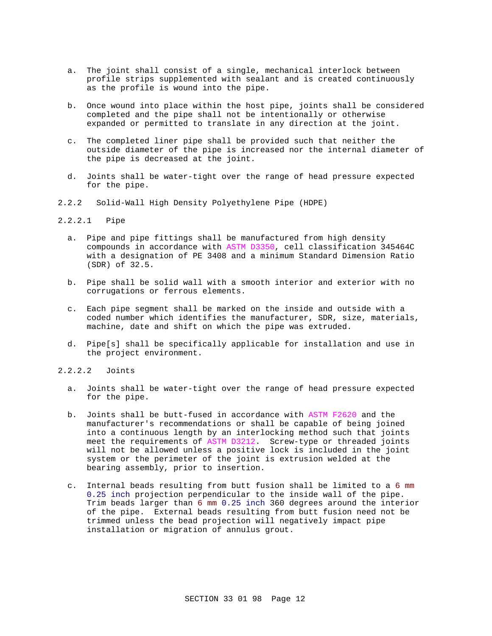- a. The joint shall consist of a single, mechanical interlock between profile strips supplemented with sealant and is created continuously as the profile is wound into the pipe.
- b. Once wound into place within the host pipe, joints shall be considered completed and the pipe shall not be intentionally or otherwise expanded or permitted to translate in any direction at the joint.
- c. The completed liner pipe shall be provided such that neither the outside diameter of the pipe is increased nor the internal diameter of the pipe is decreased at the joint.
- d. Joints shall be water-tight over the range of head pressure expected for the pipe.
- 2.2.2 Solid-Wall High Density Polyethylene Pipe (HDPE)

# 2.2.2.1 Pipe

- a. Pipe and pipe fittings shall be manufactured from high density compounds in accordance with ASTM D3350, cell classification 345464C with a designation of PE 3408 and a minimum Standard Dimension Ratio (SDR) of 32.5.
- b. Pipe shall be solid wall with a smooth interior and exterior with no corrugations or ferrous elements.
- c. Each pipe segment shall be marked on the inside and outside with a coded number which identifies the manufacturer, SDR, size, materials, machine, date and shift on which the pipe was extruded.
- d. Pipe[s] shall be specifically applicable for installation and use in the project environment.
- 2.2.2.2 Joints
	- a. Joints shall be water-tight over the range of head pressure expected for the pipe.
	- b. Joints shall be butt-fused in accordance with ASTM F2620 and the manufacturer's recommendations or shall be capable of being joined into a continuous length by an interlocking method such that joints meet the requirements of ASTM D3212. Screw-type or threaded joints will not be allowed unless a positive lock is included in the joint system or the perimeter of the joint is extrusion welded at the bearing assembly, prior to insertion.
	- c. Internal beads resulting from butt fusion shall be limited to a 6 mm 0.25 inch projection perpendicular to the inside wall of the pipe. Trim beads larger than 6 mm 0.25 inch 360 degrees around the interior of the pipe. External beads resulting from butt fusion need not be trimmed unless the bead projection will negatively impact pipe installation or migration of annulus grout.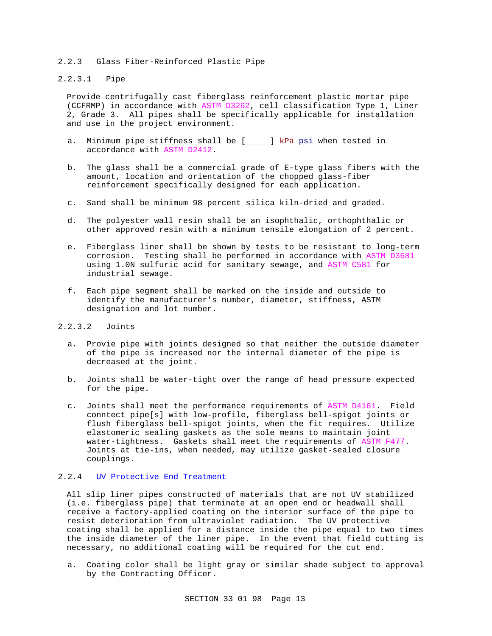### 2.2.3 Glass Fiber-Reinforced Plastic Pipe

# 2.2.3.1 Pipe

Provide centrifugally cast fiberglass reinforcement plastic mortar pipe (CCFRMP) in accordance with ASTM D3262, cell classification Type 1, Liner 2, Grade 3. All pipes shall be specifically applicable for installation and use in the project environment.

- a. Minimum pipe stiffness shall be [\_\_\_\_\_] kPa psi when tested in accordance with ASTM D2412.
- b. The glass shall be a commercial grade of E-type glass fibers with the amount, location and orientation of the chopped glass-fiber reinforcement specifically designed for each application.
- c. Sand shall be minimum 98 percent silica kiln-dried and graded.
- d. The polyester wall resin shall be an isophthalic, orthophthalic or other approved resin with a minimum tensile elongation of 2 percent.
- e. Fiberglass liner shall be shown by tests to be resistant to long-term corrosion. Testing shall be performed in accordance with ASTM D3681 using 1.0N sulfuric acid for sanitary sewage, and ASTM C581 for industrial sewage.
- f. Each pipe segment shall be marked on the inside and outside to identify the manufacturer's number, diameter, stiffness, ASTM designation and lot number.

# 2.2.3.2 Joints

- a. Provie pipe with joints designed so that neither the outside diameter of the pipe is increased nor the internal diameter of the pipe is decreased at the joint.
- b. Joints shall be water-tight over the range of head pressure expected for the pipe.
- c. Joints shall meet the performance requirements of ASTM D4161. Field conntect pipe[s] with low-profile, fiberglass bell-spigot joints or flush fiberglass bell-spigot joints, when the fit requires. Utilize elastomeric sealing gaskets as the sole means to maintain joint water-tightness. Gaskets shall meet the requirements of ASTM F477. Joints at tie-ins, when needed, may utilize gasket-sealed closure couplings.

# 2.2.4 UV Protective End Treatment

All slip liner pipes constructed of materials that are not UV stabilized (i.e. fiberglass pipe) that terminate at an open end or headwall shall receive a factory-applied coating on the interior surface of the pipe to resist deterioration from ultraviolet radiation. The UV protective coating shall be applied for a distance inside the pipe equal to two times the inside diameter of the liner pipe. In the event that field cutting is necessary, no additional coating will be required for the cut end.

a. Coating color shall be light gray or similar shade subject to approval by the Contracting Officer.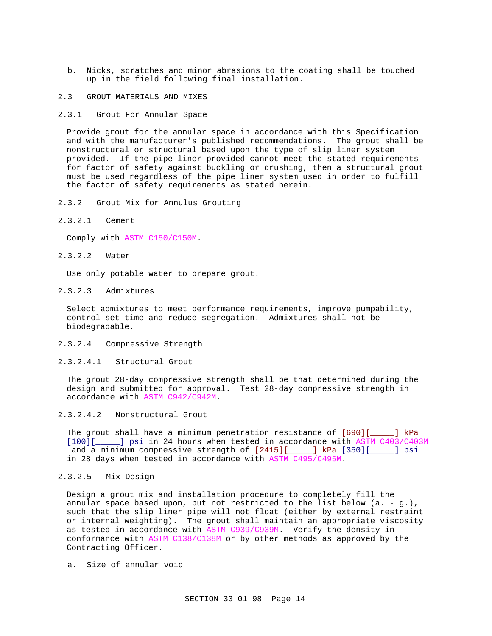- b. Nicks, scratches and minor abrasions to the coating shall be touched up in the field following final installation.
- 2.3 GROUT MATERIALS AND MIXES
- 2.3.1 Grout For Annular Space

Provide grout for the annular space in accordance with this Specification and with the manufacturer's published recommendations. The grout shall be nonstructural or structural based upon the type of slip liner system provided. If the pipe liner provided cannot meet the stated requirements for factor of safety against buckling or crushing, then a structural grout must be used regardless of the pipe liner system used in order to fulfill the factor of safety requirements as stated herein.

- 2.3.2 Grout Mix for Annulus Grouting
- 2.3.2.1 Cement

Comply with ASTM C150/C150M.

2.3.2.2 Water

Use only potable water to prepare grout.

2.3.2.3 Admixtures

Select admixtures to meet performance requirements, improve pumpability, control set time and reduce segregation. Admixtures shall not be biodegradable.

- 2.3.2.4 Compressive Strength
- 2.3.2.4.1 Structural Grout

The grout 28-day compressive strength shall be that determined during the design and submitted for approval. Test 28-day compressive strength in accordance with ASTM C942/C942M.

2.3.2.4.2 Nonstructural Grout

The grout shall have a minimum penetration resistance of  $[690][$  1 kPa  $[100][$  1 psi in 24 hours when tested in accordance with ASTM C403/C403 [100][\_\_\_\_\_] psi in 24 hours when tested in accordance with ASTM C403/C403M and a minimum compressive strength of [2415][\_\_\_\_\_] kPa [350][\_\_\_\_\_] psi in 28 days when tested in accordance with ASTM C495/C495M.

2.3.2.5 Mix Design

Design a grout mix and installation procedure to completely fill the annular space based upon, but not restricted to the list below  $(a. - g.)$ , such that the slip liner pipe will not float (either by external restraint or internal weighting). The grout shall maintain an appropriate viscosity as tested in accordance with ASTM C939/C939M. Verify the density in conformance with ASTM C138/C138M or by other methods as approved by the Contracting Officer.

a. Size of annular void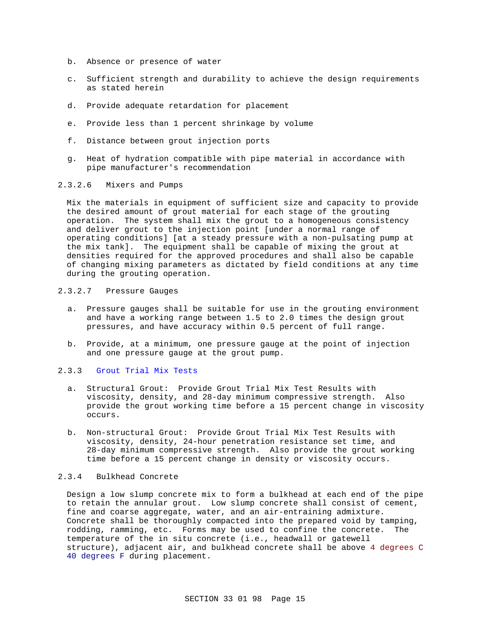- b. Absence or presence of water
- c. Sufficient strength and durability to achieve the design requirements as stated herein
- d. Provide adequate retardation for placement
- e. Provide less than 1 percent shrinkage by volume
- f. Distance between grout injection ports
- g. Heat of hydration compatible with pipe material in accordance with pipe manufacturer's recommendation

# 2.3.2.6 Mixers and Pumps

Mix the materials in equipment of sufficient size and capacity to provide the desired amount of grout material for each stage of the grouting operation. The system shall mix the grout to a homogeneous consistency and deliver grout to the injection point [under a normal range of operating conditions] [at a steady pressure with a non-pulsating pump at the mix tank]. The equipment shall be capable of mixing the grout at densities required for the approved procedures and shall also be capable of changing mixing parameters as dictated by field conditions at any time during the grouting operation.

# 2.3.2.7 Pressure Gauges

- a. Pressure gauges shall be suitable for use in the grouting environment and have a working range between 1.5 to 2.0 times the design grout pressures, and have accuracy within 0.5 percent of full range.
- b. Provide, at a minimum, one pressure gauge at the point of injection and one pressure gauge at the grout pump.

# 2.3.3 Grout Trial Mix Tests

- a. Structural Grout: Provide Grout Trial Mix Test Results with viscosity, density, and 28-day minimum compressive strength. Also provide the grout working time before a 15 percent change in viscosity occurs.
- b. Non-structural Grout: Provide Grout Trial Mix Test Results with viscosity, density, 24-hour penetration resistance set time, and 28-day minimum compressive strength. Also provide the grout working time before a 15 percent change in density or viscosity occurs.

### 2.3.4 Bulkhead Concrete

Design a low slump concrete mix to form a bulkhead at each end of the pipe to retain the annular grout. Low slump concrete shall consist of cement, fine and coarse aggregate, water, and an air-entraining admixture. Concrete shall be thoroughly compacted into the prepared void by tamping, rodding, ramming, etc. Forms may be used to confine the concrete. The temperature of the in situ concrete (i.e., headwall or gatewell structure), adjacent air, and bulkhead concrete shall be above 4 degrees C 40 degrees F during placement.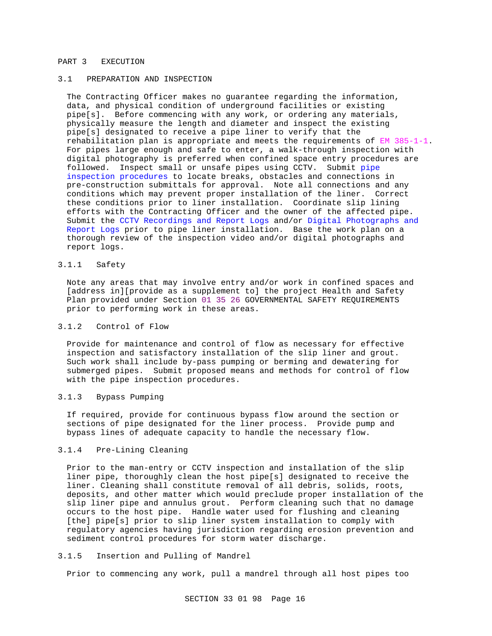#### PART 3 EXECUTION

# 3.1 PREPARATION AND INSPECTION

The Contracting Officer makes no guarantee regarding the information, data, and physical condition of underground facilities or existing pipe[s]. Before commencing with any work, or ordering any materials, physically measure the length and diameter and inspect the existing pipe[s] designated to receive a pipe liner to verify that the rehabilitation plan is appropriate and meets the requirements of EM 385-1-1. For pipes large enough and safe to enter, a walk-through inspection with digital photography is preferred when confined space entry procedures are followed. Inspect small or unsafe pipes using CCTV. Submit pipe inspection procedures to locate breaks, obstacles and connections in pre-construction submittals for approval. Note all connections and any conditions which may prevent proper installation of the liner. Correct these conditions prior to liner installation. Coordinate slip lining efforts with the Contracting Officer and the owner of the affected pipe. Submit the CCTV Recordings and Report Logs and/or Digital Photographs and Report Logs prior to pipe liner installation. Base the work plan on a thorough review of the inspection video and/or digital photographs and report logs.

# 3.1.1 Safety

Note any areas that may involve entry and/or work in confined spaces and [address in][provide as a supplement to] the project Health and Safety Plan provided under Section 01 35 26 GOVERNMENTAL SAFETY REQUIREMENTS prior to performing work in these areas.

### 3.1.2 Control of Flow

Provide for maintenance and control of flow as necessary for effective inspection and satisfactory installation of the slip liner and grout. Such work shall include by-pass pumping or berming and dewatering for submerged pipes. Submit proposed means and methods for control of flow with the pipe inspection procedures.

# 3.1.3 Bypass Pumping

If required, provide for continuous bypass flow around the section or sections of pipe designated for the liner process. Provide pump and bypass lines of adequate capacity to handle the necessary flow.

# 3.1.4 Pre-Lining Cleaning

Prior to the man-entry or CCTV inspection and installation of the slip liner pipe, thoroughly clean the host pipe[s] designated to receive the liner. Cleaning shall constitute removal of all debris, solids, roots, deposits, and other matter which would preclude proper installation of the slip liner pipe and annulus grout. Perform cleaning such that no damage occurs to the host pipe. Handle water used for flushing and cleaning [the] pipe[s] prior to slip liner system installation to comply with regulatory agencies having jurisdiction regarding erosion prevention and sediment control procedures for storm water discharge.

### 3.1.5 Insertion and Pulling of Mandrel

Prior to commencing any work, pull a mandrel through all host pipes too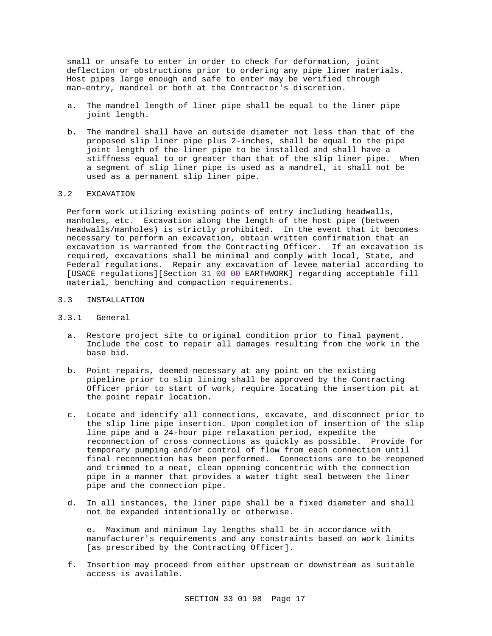small or unsafe to enter in order to check for deformation, joint deflection or obstructions prior to ordering any pipe liner materials. Host pipes large enough and safe to enter may be verified through man-entry, mandrel or both at the Contractor's discretion.

- a. The mandrel length of liner pipe shall be equal to the liner pipe joint length.
- b. The mandrel shall have an outside diameter not less than that of the proposed slip liner pipe plus 2-inches, shall be equal to the pipe joint length of the liner pipe to be installed and shall have a stiffness equal to or greater than that of the slip liner pipe. When a segment of slip liner pipe is used as a mandrel, it shall not be used as a permanent slip liner pipe.

# 3.2 EXCAVATION

Perform work utilizing existing points of entry including headwalls, manholes, etc. Excavation along the length of the host pipe (between headwalls/manholes) is strictly prohibited. In the event that it becomes necessary to perform an excavation, obtain written confirmation that an excavation is warranted from the Contracting Officer. If an excavation is required, excavations shall be minimal and comply with local, State, and Federal regulations. Repair any excavation of levee material according to [USACE regulations][Section 31 00 00 EARTHWORK] regarding acceptable fill material, benching and compaction requirements.

# 3.3 INSTALLATION

### 3.3.1 General

- a. Restore project site to original condition prior to final payment. Include the cost to repair all damages resulting from the work in the base bid.
- b. Point repairs, deemed necessary at any point on the existing pipeline prior to slip lining shall be approved by the Contracting Officer prior to start of work, require locating the insertion pit at the point repair location.
- c. Locate and identify all connections, excavate, and disconnect prior to the slip line pipe insertion. Upon completion of insertion of the slip line pipe and a 24-hour pipe relaxation period, expedite the reconnection of cross connections as quickly as possible. Provide for temporary pumping and/or control of flow from each connection until final reconnection has been performed. Connections are to be reopened and trimmed to a neat, clean opening concentric with the connection pipe in a manner that provides a water tight seal between the liner pipe and the connection pipe.
- d. In all instances, the liner pipe shall be a fixed diameter and shall not be expanded intentionally or otherwise.

e. Maximum and minimum lay lengths shall be in accordance with manufacturer's requirements and any constraints based on work limits [as prescribed by the Contracting Officer].

f. Insertion may proceed from either upstream or downstream as suitable access is available.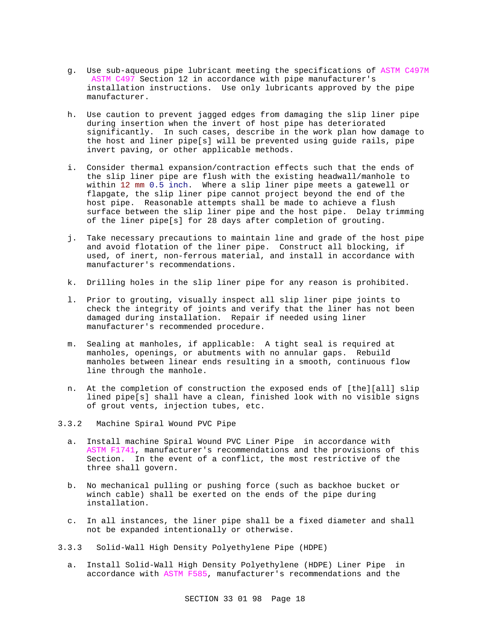- g. Use sub-aqueous pipe lubricant meeting the specifications of ASTM C497M ASTM C497 Section 12 in accordance with pipe manufacturer's installation instructions. Use only lubricants approved by the pipe manufacturer.
- h. Use caution to prevent jagged edges from damaging the slip liner pipe during insertion when the invert of host pipe has deteriorated significantly. In such cases, describe in the work plan how damage to the host and liner pipe[s] will be prevented using guide rails, pipe invert paving, or other applicable methods.
- i. Consider thermal expansion/contraction effects such that the ends of the slip liner pipe are flush with the existing headwall/manhole to within 12 mm 0.5 inch. Where a slip liner pipe meets a gatewell or flapgate, the slip liner pipe cannot project beyond the end of the host pipe. Reasonable attempts shall be made to achieve a flush surface between the slip liner pipe and the host pipe. Delay trimming of the liner pipe[s] for 28 days after completion of grouting.
- j. Take necessary precautions to maintain line and grade of the host pipe and avoid flotation of the liner pipe. Construct all blocking, if used, of inert, non-ferrous material, and install in accordance with manufacturer's recommendations.
- k. Drilling holes in the slip liner pipe for any reason is prohibited.
- l. Prior to grouting, visually inspect all slip liner pipe joints to check the integrity of joints and verify that the liner has not been damaged during installation. Repair if needed using liner manufacturer's recommended procedure.
- m. Sealing at manholes, if applicable: A tight seal is required at manholes, openings, or abutments with no annular gaps. Rebuild manholes between linear ends resulting in a smooth, continuous flow line through the manhole.
- n. At the completion of construction the exposed ends of [the][all] slip lined pipe[s] shall have a clean, finished look with no visible signs of grout vents, injection tubes, etc.
- 3.3.2 Machine Spiral Wound PVC Pipe
	- a. Install machine Spiral Wound PVC Liner Pipe in accordance with ASTM F1741, manufacturer's recommendations and the provisions of this Section. In the event of a conflict, the most restrictive of the three shall govern.
	- b. No mechanical pulling or pushing force (such as backhoe bucket or winch cable) shall be exerted on the ends of the pipe during installation.
	- c. In all instances, the liner pipe shall be a fixed diameter and shall not be expanded intentionally or otherwise.
- 3.3.3 Solid-Wall High Density Polyethylene Pipe (HDPE)
	- a. Install Solid-Wall High Density Polyethylene (HDPE) Liner Pipe in accordance with ASTM F585, manufacturer's recommendations and the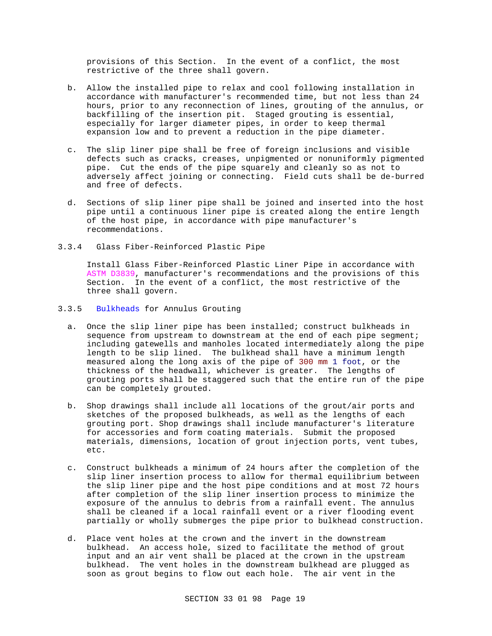provisions of this Section. In the event of a conflict, the most restrictive of the three shall govern.

- b. Allow the installed pipe to relax and cool following installation in accordance with manufacturer's recommended time, but not less than 24 hours, prior to any reconnection of lines, grouting of the annulus, or backfilling of the insertion pit. Staged grouting is essential, especially for larger diameter pipes, in order to keep thermal expansion low and to prevent a reduction in the pipe diameter.
- c. The slip liner pipe shall be free of foreign inclusions and visible defects such as cracks, creases, unpigmented or nonuniformly pigmented pipe. Cut the ends of the pipe squarely and cleanly so as not to adversely affect joining or connecting. Field cuts shall be de-burred and free of defects.
- d. Sections of slip liner pipe shall be joined and inserted into the host pipe until a continuous liner pipe is created along the entire length of the host pipe, in accordance with pipe manufacturer's recommendations.
- 3.3.4 Glass Fiber-Reinforced Plastic Pipe

Install Glass Fiber-Reinforced Plastic Liner Pipe in accordance with ASTM D3839, manufacturer's recommendations and the provisions of this Section. In the event of a conflict, the most restrictive of the three shall govern.

# 3.3.5 Bulkheads for Annulus Grouting

- a. Once the slip liner pipe has been installed; construct bulkheads in sequence from upstream to downstream at the end of each pipe segment; including gatewells and manholes located intermediately along the pipe length to be slip lined. The bulkhead shall have a minimum length measured along the long axis of the pipe of 300 mm 1 foot, or the thickness of the headwall, whichever is greater. The lengths of grouting ports shall be staggered such that the entire run of the pipe can be completely grouted.
- b. Shop drawings shall include all locations of the grout/air ports and sketches of the proposed bulkheads, as well as the lengths of each grouting port. Shop drawings shall include manufacturer's literature for accessories and form coating materials. Submit the proposed materials, dimensions, location of grout injection ports, vent tubes, etc.
- c. Construct bulkheads a minimum of 24 hours after the completion of the slip liner insertion process to allow for thermal equilibrium between the slip liner pipe and the host pipe conditions and at most 72 hours after completion of the slip liner insertion process to minimize the exposure of the annulus to debris from a rainfall event. The annulus shall be cleaned if a local rainfall event or a river flooding event partially or wholly submerges the pipe prior to bulkhead construction.
- d. Place vent holes at the crown and the invert in the downstream bulkhead. An access hole, sized to facilitate the method of grout input and an air vent shall be placed at the crown in the upstream bulkhead. The vent holes in the downstream bulkhead are plugged as soon as grout begins to flow out each hole. The air vent in the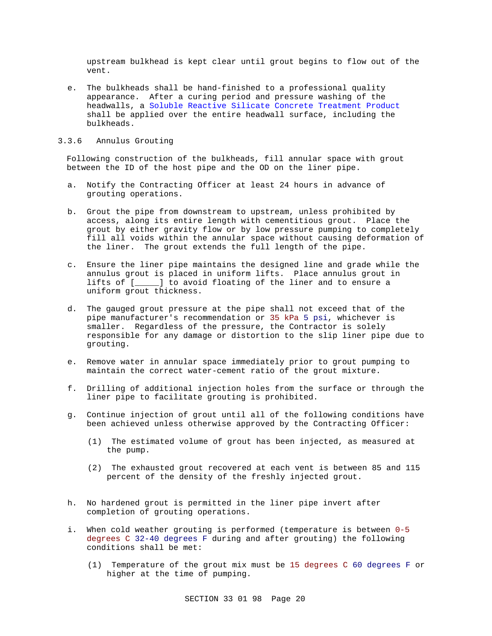upstream bulkhead is kept clear until grout begins to flow out of the vent.

- e. The bulkheads shall be hand-finished to a professional quality appearance. After a curing period and pressure washing of the headwalls, a Soluble Reactive Silicate Concrete Treatment Product shall be applied over the entire headwall surface, including the bulkheads.
- 3.3.6 Annulus Grouting

Following construction of the bulkheads, fill annular space with grout between the ID of the host pipe and the OD on the liner pipe.

- a. Notify the Contracting Officer at least 24 hours in advance of grouting operations.
- b. Grout the pipe from downstream to upstream, unless prohibited by access, along its entire length with cementitious grout. Place the grout by either gravity flow or by low pressure pumping to completely fill all voids within the annular space without causing deformation of the liner. The grout extends the full length of the pipe.
- c. Ensure the liner pipe maintains the designed line and grade while the annulus grout is placed in uniform lifts. Place annulus grout in lifts of [\_\_\_\_\_] to avoid floating of the liner and to ensure a uniform grout thickness.
- d. The gauged grout pressure at the pipe shall not exceed that of the pipe manufacturer's recommendation or 35 kPa 5 psi, whichever is smaller. Regardless of the pressure, the Contractor is solely responsible for any damage or distortion to the slip liner pipe due to grouting.
- e. Remove water in annular space immediately prior to grout pumping to maintain the correct water-cement ratio of the grout mixture.
- f. Drilling of additional injection holes from the surface or through the liner pipe to facilitate grouting is prohibited.
- g. Continue injection of grout until all of the following conditions have been achieved unless otherwise approved by the Contracting Officer:
	- (1) The estimated volume of grout has been injected, as measured at the pump.
	- (2) The exhausted grout recovered at each vent is between 85 and 115 percent of the density of the freshly injected grout.
- h. No hardened grout is permitted in the liner pipe invert after completion of grouting operations.
- i. When cold weather grouting is performed (temperature is between 0-5 degrees C 32-40 degrees F during and after grouting) the following conditions shall be met:
	- (1) Temperature of the grout mix must be 15 degrees C 60 degrees F or higher at the time of pumping.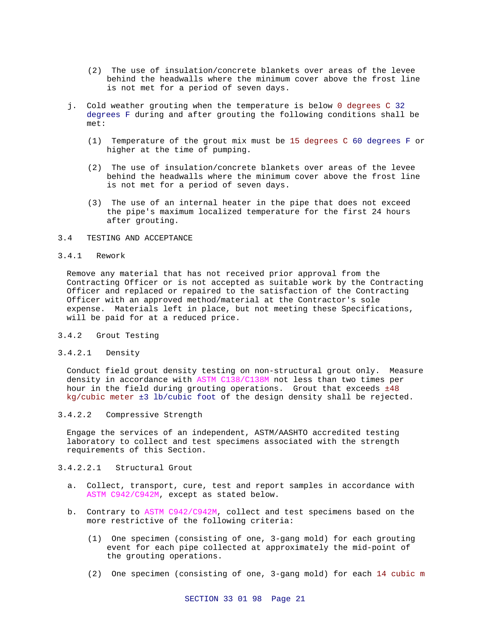- (2) The use of insulation/concrete blankets over areas of the levee behind the headwalls where the minimum cover above the frost line is not met for a period of seven days.
- j. Cold weather grouting when the temperature is below 0 degrees C 32 degrees F during and after grouting the following conditions shall be met:
	- (1) Temperature of the grout mix must be 15 degrees C 60 degrees F or higher at the time of pumping.
	- (2) The use of insulation/concrete blankets over areas of the levee behind the headwalls where the minimum cover above the frost line is not met for a period of seven days.
	- (3) The use of an internal heater in the pipe that does not exceed the pipe's maximum localized temperature for the first 24 hours after grouting.

# 3.4 TESTING AND ACCEPTANCE

#### 3.4.1 Rework

Remove any material that has not received prior approval from the Contracting Officer or is not accepted as suitable work by the Contracting Officer and replaced or repaired to the satisfaction of the Contracting Officer with an approved method/material at the Contractor's sole expense. Materials left in place, but not meeting these Specifications, will be paid for at a reduced price.

- 3.4.2 Grout Testing
- 3.4.2.1 Density

Conduct field grout density testing on non-structural grout only. Measure density in accordance with ASTM C138/C138M not less than two times per hour in the field during grouting operations. Grout that exceeds ±48 kg/cubic meter ±3 lb/cubic foot of the design density shall be rejected.

3.4.2.2 Compressive Strength

Engage the services of an independent, ASTM/AASHTO accredited testing laboratory to collect and test specimens associated with the strength requirements of this Section.

- 3.4.2.2.1 Structural Grout
	- a. Collect, transport, cure, test and report samples in accordance with ASTM C942/C942M, except as stated below.
	- b. Contrary to ASTM C942/C942M, collect and test specimens based on the more restrictive of the following criteria:
		- (1) One specimen (consisting of one, 3-gang mold) for each grouting event for each pipe collected at approximately the mid-point of the grouting operations.
		- (2) One specimen (consisting of one, 3-gang mold) for each 14 cubic m